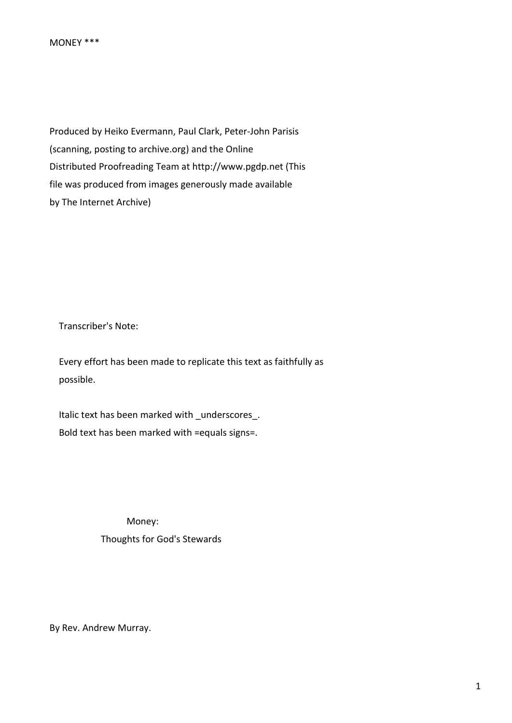Produced by Heiko Evermann, Paul Clark, Peter-John Parisis (scanning, posting to archive.org) and the Online Distributed Proofreading Team at http://www.pgdp.net (This file was produced from images generously made available by The Internet Archive)

Transcriber's Note:

 Every effort has been made to replicate this text as faithfully as possible.

 Italic text has been marked with \_underscores\_. Bold text has been marked with =equals signs=.

> Money: Thoughts for God's Stewards

By Rev. Andrew Murray.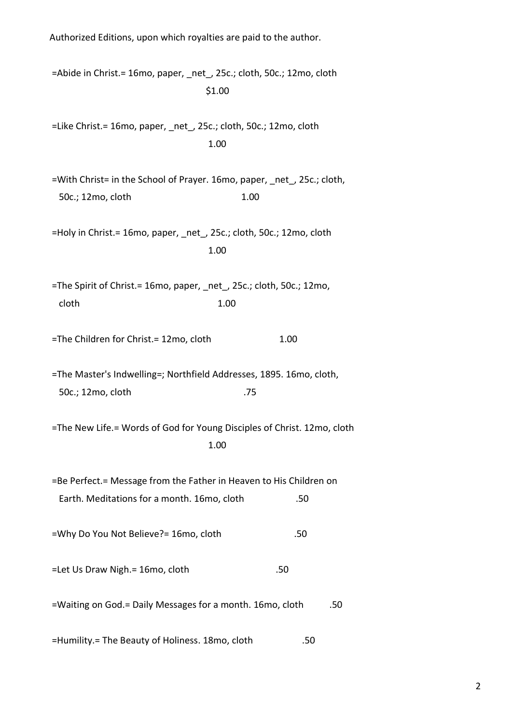Authorized Editions, upon which royalties are paid to the author. =Abide in Christ.= 16mo, paper, \_net\_, 25c.; cloth, 50c.; 12mo, cloth \$1.00 =Like Christ.= 16mo, paper, \_net\_, 25c.; cloth, 50c.; 12mo, cloth **1.00** =With Christ= in the School of Prayer. 16mo, paper, net, 25c.; cloth, 50c.; 12mo, cloth 1.00 =Holy in Christ.= 16mo, paper, \_net\_, 25c.; cloth, 50c.; 12mo, cloth **1.00** =The Spirit of Christ. = 16mo, paper, net, 25c.; cloth, 50c.; 12mo, cloth 1.00 =The Children for Christ.= 12mo, cloth 1.00 =The Master's Indwelling=; Northfield Addresses, 1895. 16mo, cloth, 50c.; 12mo, cloth .75 =The New Life.= Words of God for Young Disciples of Christ. 12mo, cloth **1.00** =Be Perfect.= Message from the Father in Heaven to His Children on Earth. Meditations for a month. 16mo, cloth .50 =Why Do You Not Believe?= 16mo, cloth .50 =Let Us Draw Nigh.= 16mo, cloth .50 =Waiting on God. = Daily Messages for a month. 16mo, cloth .50 =Humility.= The Beauty of Holiness. 18mo, cloth .50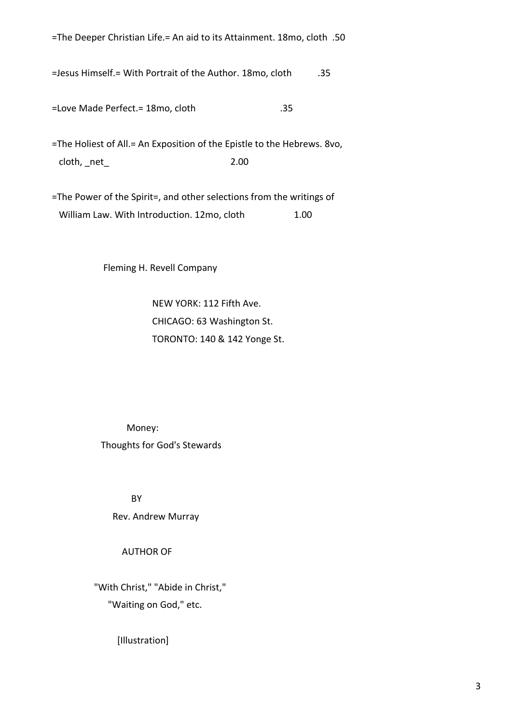=The Deeper Christian Life.= An aid to its Attainment. 18mo, cloth .50

=Jesus Himself. = With Portrait of the Author. 18mo, cloth .35

=Love Made Perfect.= 18mo, cloth .35

=The Holiest of All.= An Exposition of the Epistle to the Hebrews. 8vo, cloth, \_net\_ 2.00

=The Power of the Spirit=, and other selections from the writings of William Law. With Introduction. 12mo, cloth 1.00

Fleming H. Revell Company

 NEW YORK: 112 Fifth Ave. CHICAGO: 63 Washington St. TORONTO: 140 & 142 Yonge St.

 Money: Thoughts for God's Stewards

**BY** BY

Rev. Andrew Murray

AUTHOR OF

 "With Christ," "Abide in Christ," "Waiting on God," etc.

[Illustration]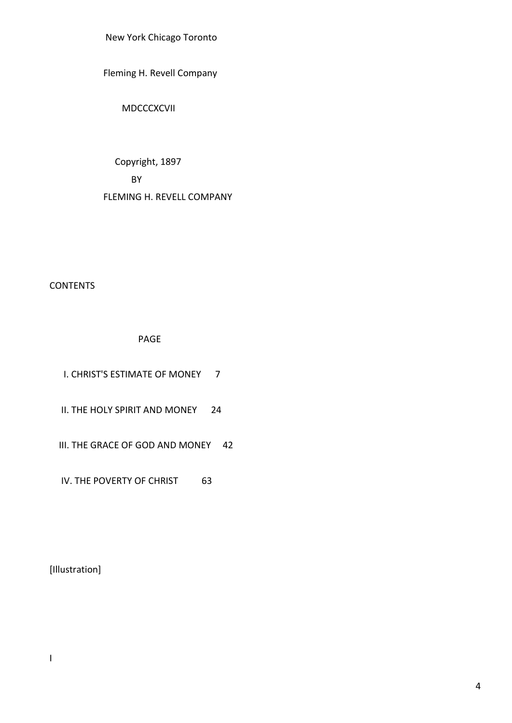New York Chicago Toronto

Fleming H. Revell Company

MDCCCXCVII

 Copyright, 1897 BY FLEMING H. REVELL COMPANY

# **CONTENTS**

PAGE

| L CHRIST'S ESTIMATE OF MONEY    |    |
|---------------------------------|----|
| IL THE HOLY SPIRIT AND MONEY    | 24 |
| III. THE GRACE OF GOD AND MONEY | 42 |
| IV. THE POVERTY OF CHRIST       |    |

[Illustration]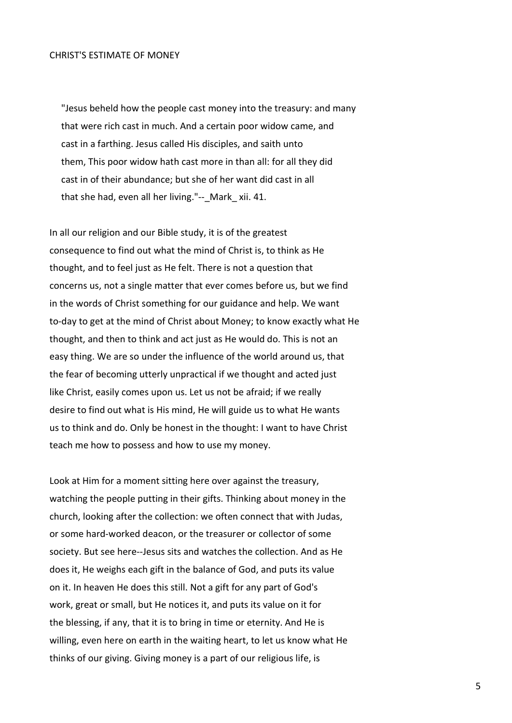#### CHRIST'S ESTIMATE OF MONEY

 "Jesus beheld how the people cast money into the treasury: and many that were rich cast in much. And a certain poor widow came, and cast in a farthing. Jesus called His disciples, and saith unto them, This poor widow hath cast more in than all: for all they did cast in of their abundance; but she of her want did cast in all that she had, even all her living."-- Mark xii. 41.

In all our religion and our Bible study, it is of the greatest consequence to find out what the mind of Christ is, to think as He thought, and to feel just as He felt. There is not a question that concerns us, not a single matter that ever comes before us, but we find in the words of Christ something for our guidance and help. We want to-day to get at the mind of Christ about Money; to know exactly what He thought, and then to think and act just as He would do. This is not an easy thing. We are so under the influence of the world around us, that the fear of becoming utterly unpractical if we thought and acted just like Christ, easily comes upon us. Let us not be afraid; if we really desire to find out what is His mind, He will guide us to what He wants us to think and do. Only be honest in the thought: I want to have Christ teach me how to possess and how to use my money.

Look at Him for a moment sitting here over against the treasury, watching the people putting in their gifts. Thinking about money in the church, looking after the collection: we often connect that with Judas, or some hard-worked deacon, or the treasurer or collector of some society. But see here--Jesus sits and watches the collection. And as He does it, He weighs each gift in the balance of God, and puts its value on it. In heaven He does this still. Not a gift for any part of God's work, great or small, but He notices it, and puts its value on it for the blessing, if any, that it is to bring in time or eternity. And He is willing, even here on earth in the waiting heart, to let us know what He thinks of our giving. Giving money is a part of our religious life, is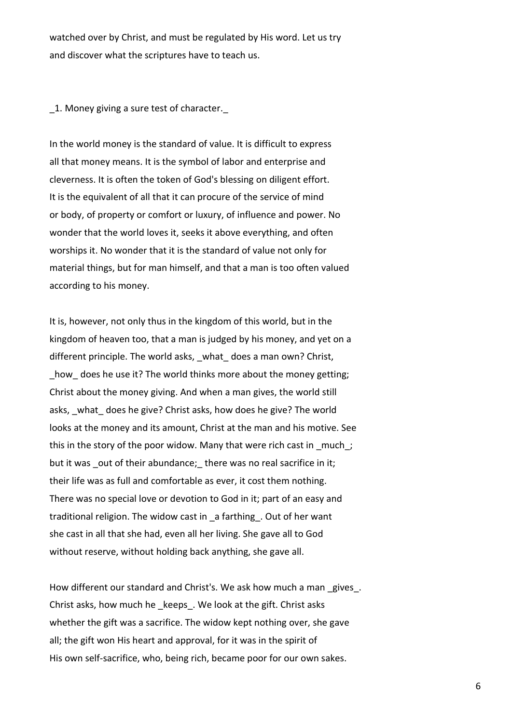watched over by Christ, and must be regulated by His word. Let us try and discover what the scriptures have to teach us.

\_1. Money giving a sure test of character.\_

In the world money is the standard of value. It is difficult to express all that money means. It is the symbol of labor and enterprise and cleverness. It is often the token of God's blessing on diligent effort. It is the equivalent of all that it can procure of the service of mind or body, of property or comfort or luxury, of influence and power. No wonder that the world loves it, seeks it above everything, and often worships it. No wonder that it is the standard of value not only for material things, but for man himself, and that a man is too often valued according to his money.

It is, however, not only thus in the kingdom of this world, but in the kingdom of heaven too, that a man is judged by his money, and yet on a different principle. The world asks, what does a man own? Christ, how does he use it? The world thinks more about the money getting; Christ about the money giving. And when a man gives, the world still asks, what does he give? Christ asks, how does he give? The world looks at the money and its amount, Christ at the man and his motive. See this in the story of the poor widow. Many that were rich cast in much; but it was out of their abundance; there was no real sacrifice in it; their life was as full and comfortable as ever, it cost them nothing. There was no special love or devotion to God in it; part of an easy and traditional religion. The widow cast in \_a farthing\_. Out of her want she cast in all that she had, even all her living. She gave all to God without reserve, without holding back anything, she gave all.

How different our standard and Christ's. We ask how much a man gives. Christ asks, how much he \_keeps\_. We look at the gift. Christ asks whether the gift was a sacrifice. The widow kept nothing over, she gave all; the gift won His heart and approval, for it was in the spirit of His own self-sacrifice, who, being rich, became poor for our own sakes.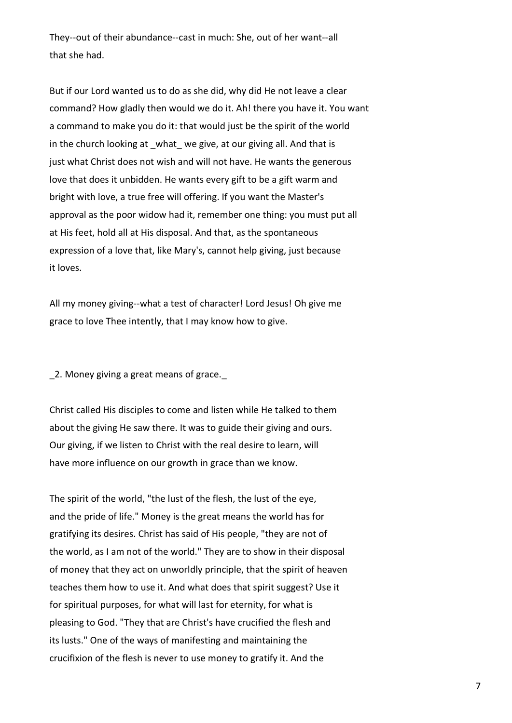They--out of their abundance--cast in much: She, out of her want--all that she had.

But if our Lord wanted us to do as she did, why did He not leave a clear command? How gladly then would we do it. Ah! there you have it. You want a command to make you do it: that would just be the spirit of the world in the church looking at what we give, at our giving all. And that is just what Christ does not wish and will not have. He wants the generous love that does it unbidden. He wants every gift to be a gift warm and bright with love, a true free will offering. If you want the Master's approval as the poor widow had it, remember one thing: you must put all at His feet, hold all at His disposal. And that, as the spontaneous expression of a love that, like Mary's, cannot help giving, just because it loves.

All my money giving--what a test of character! Lord Jesus! Oh give me grace to love Thee intently, that I may know how to give.

2. Money giving a great means of grace.

Christ called His disciples to come and listen while He talked to them about the giving He saw there. It was to guide their giving and ours. Our giving, if we listen to Christ with the real desire to learn, will have more influence on our growth in grace than we know.

The spirit of the world, "the lust of the flesh, the lust of the eye, and the pride of life." Money is the great means the world has for gratifying its desires. Christ has said of His people, "they are not of the world, as I am not of the world." They are to show in their disposal of money that they act on unworldly principle, that the spirit of heaven teaches them how to use it. And what does that spirit suggest? Use it for spiritual purposes, for what will last for eternity, for what is pleasing to God. "They that are Christ's have crucified the flesh and its lusts." One of the ways of manifesting and maintaining the crucifixion of the flesh is never to use money to gratify it. And the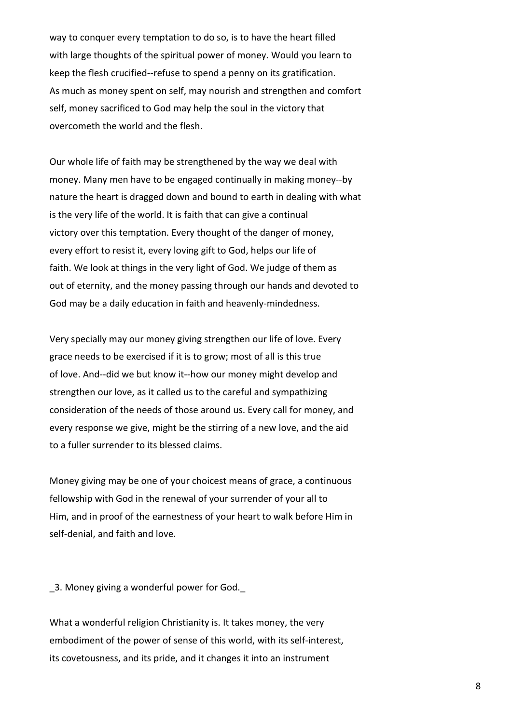way to conquer every temptation to do so, is to have the heart filled with large thoughts of the spiritual power of money. Would you learn to keep the flesh crucified--refuse to spend a penny on its gratification. As much as money spent on self, may nourish and strengthen and comfort self, money sacrificed to God may help the soul in the victory that overcometh the world and the flesh.

Our whole life of faith may be strengthened by the way we deal with money. Many men have to be engaged continually in making money--by nature the heart is dragged down and bound to earth in dealing with what is the very life of the world. It is faith that can give a continual victory over this temptation. Every thought of the danger of money, every effort to resist it, every loving gift to God, helps our life of faith. We look at things in the very light of God. We judge of them as out of eternity, and the money passing through our hands and devoted to God may be a daily education in faith and heavenly-mindedness.

Very specially may our money giving strengthen our life of love. Every grace needs to be exercised if it is to grow; most of all is this true of love. And--did we but know it--how our money might develop and strengthen our love, as it called us to the careful and sympathizing consideration of the needs of those around us. Every call for money, and every response we give, might be the stirring of a new love, and the aid to a fuller surrender to its blessed claims.

Money giving may be one of your choicest means of grace, a continuous fellowship with God in the renewal of your surrender of your all to Him, and in proof of the earnestness of your heart to walk before Him in self-denial, and faith and love.

\_3. Money giving a wonderful power for God.\_

What a wonderful religion Christianity is. It takes money, the very embodiment of the power of sense of this world, with its self-interest, its covetousness, and its pride, and it changes it into an instrument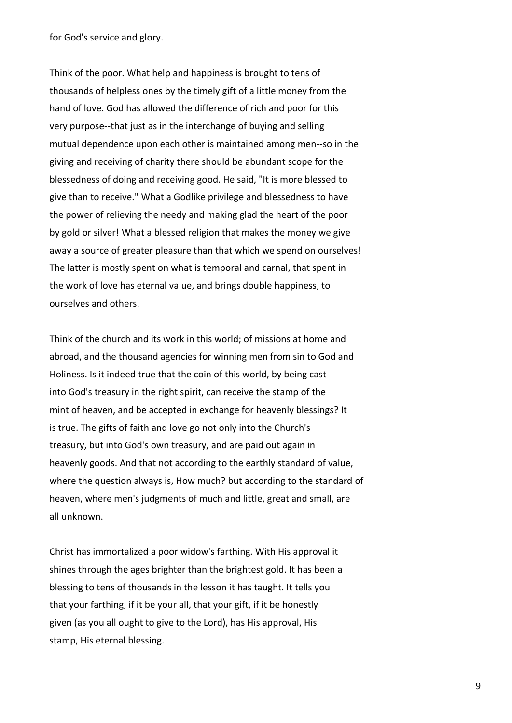for God's service and glory.

Think of the poor. What help and happiness is brought to tens of thousands of helpless ones by the timely gift of a little money from the hand of love. God has allowed the difference of rich and poor for this very purpose--that just as in the interchange of buying and selling mutual dependence upon each other is maintained among men--so in the giving and receiving of charity there should be abundant scope for the blessedness of doing and receiving good. He said, "It is more blessed to give than to receive." What a Godlike privilege and blessedness to have the power of relieving the needy and making glad the heart of the poor by gold or silver! What a blessed religion that makes the money we give away a source of greater pleasure than that which we spend on ourselves! The latter is mostly spent on what is temporal and carnal, that spent in the work of love has eternal value, and brings double happiness, to ourselves and others.

Think of the church and its work in this world; of missions at home and abroad, and the thousand agencies for winning men from sin to God and Holiness. Is it indeed true that the coin of this world, by being cast into God's treasury in the right spirit, can receive the stamp of the mint of heaven, and be accepted in exchange for heavenly blessings? It is true. The gifts of faith and love go not only into the Church's treasury, but into God's own treasury, and are paid out again in heavenly goods. And that not according to the earthly standard of value, where the question always is, How much? but according to the standard of heaven, where men's judgments of much and little, great and small, are all unknown.

Christ has immortalized a poor widow's farthing. With His approval it shines through the ages brighter than the brightest gold. It has been a blessing to tens of thousands in the lesson it has taught. It tells you that your farthing, if it be your all, that your gift, if it be honestly given (as you all ought to give to the Lord), has His approval, His stamp, His eternal blessing.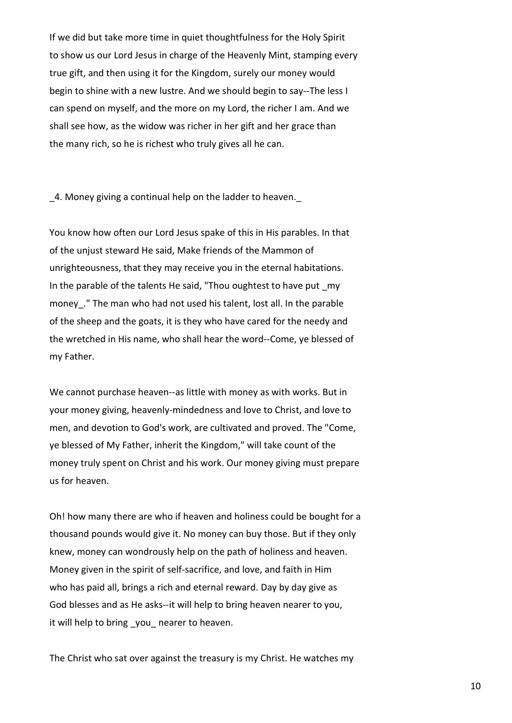If we did but take more time in quiet thoughtfulness for the Holy Spirit to show us our Lord Jesus in charge of the Heavenly Mint, stamping every true gift, and then using it for the Kingdom, surely our money would begin to shine with a new lustre. And we should begin to say--The less I can spend on myself, and the more on my Lord, the richer I am. And we shall see how, as the widow was richer in her gift and her grace than the many rich, so he is richest who truly gives all he can.

4. Money giving a continual help on the ladder to heaven.

You know how often our Lord Jesus spake of this in His parables. In that of the unjust steward He said, Make friends of the Mammon of unrighteousness, that they may receive you in the eternal habitations. In the parable of the talents He said, "Thou oughtest to have put my money." The man who had not used his talent, lost all. In the parable of the sheep and the goats, it is they who have cared for the needy and the wretched in His name, who shall hear the word--Come, ye blessed of my Father.

We cannot purchase heaven--as little with money as with works. But in your money giving, heavenly-mindedness and love to Christ, and love to men, and devotion to God's work, are cultivated and proved. The "Come, ye blessed of My Father, inherit the Kingdom," will take count of the money truly spent on Christ and his work. Our money giving must prepare us for heaven.

Oh! how many there are who if heaven and holiness could be bought for a thousand pounds would give it. No money can buy those. But if they only knew, money can wondrously help on the path of holiness and heaven. Money given in the spirit of self-sacrifice, and love, and faith in Him who has paid all, brings a rich and eternal reward. Day by day give as God blesses and as He asks--it will help to bring heaven nearer to you, it will help to bring you nearer to heaven.

The Christ who sat over against the treasury is my Christ. He watches my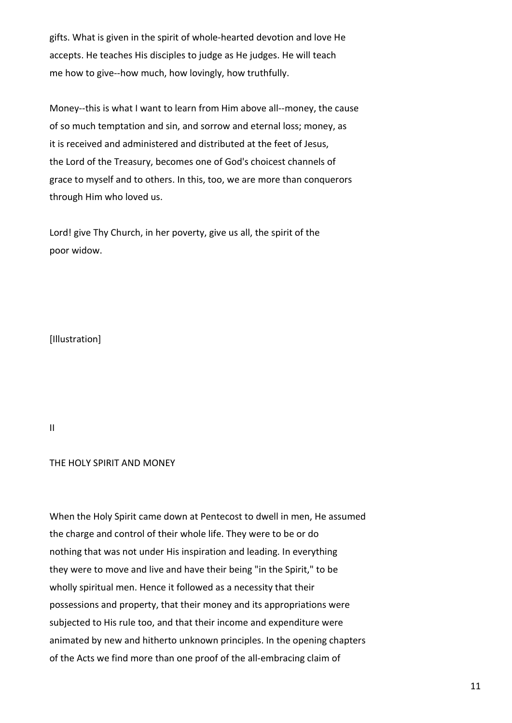gifts. What is given in the spirit of whole-hearted devotion and love He accepts. He teaches His disciples to judge as He judges. He will teach me how to give--how much, how lovingly, how truthfully.

Money--this is what I want to learn from Him above all--money, the cause of so much temptation and sin, and sorrow and eternal loss; money, as it is received and administered and distributed at the feet of Jesus, the Lord of the Treasury, becomes one of God's choicest channels of grace to myself and to others. In this, too, we are more than conquerors through Him who loved us.

Lord! give Thy Church, in her poverty, give us all, the spirit of the poor widow.

[Illustration]

II

# THE HOLY SPIRIT AND MONEY

When the Holy Spirit came down at Pentecost to dwell in men, He assumed the charge and control of their whole life. They were to be or do nothing that was not under His inspiration and leading. In everything they were to move and live and have their being "in the Spirit," to be wholly spiritual men. Hence it followed as a necessity that their possessions and property, that their money and its appropriations were subjected to His rule too, and that their income and expenditure were animated by new and hitherto unknown principles. In the opening chapters of the Acts we find more than one proof of the all-embracing claim of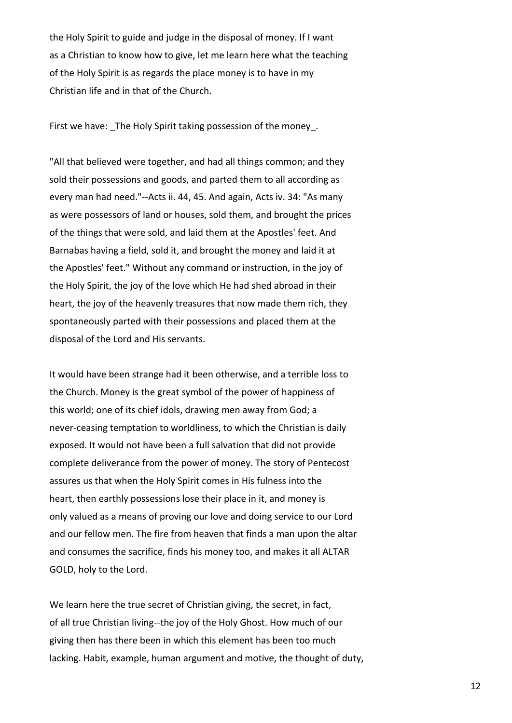the Holy Spirit to guide and judge in the disposal of money. If I want as a Christian to know how to give, let me learn here what the teaching of the Holy Spirit is as regards the place money is to have in my Christian life and in that of the Church.

First we have: The Holy Spirit taking possession of the money.

"All that believed were together, and had all things common; and they sold their possessions and goods, and parted them to all according as every man had need."--Acts ii. 44, 45. And again, Acts iv. 34: "As many as were possessors of land or houses, sold them, and brought the prices of the things that were sold, and laid them at the Apostles' feet. And Barnabas having a field, sold it, and brought the money and laid it at the Apostles' feet." Without any command or instruction, in the joy of the Holy Spirit, the joy of the love which He had shed abroad in their heart, the joy of the heavenly treasures that now made them rich, they spontaneously parted with their possessions and placed them at the disposal of the Lord and His servants.

It would have been strange had it been otherwise, and a terrible loss to the Church. Money is the great symbol of the power of happiness of this world; one of its chief idols, drawing men away from God; a never-ceasing temptation to worldliness, to which the Christian is daily exposed. It would not have been a full salvation that did not provide complete deliverance from the power of money. The story of Pentecost assures us that when the Holy Spirit comes in His fulness into the heart, then earthly possessions lose their place in it, and money is only valued as a means of proving our love and doing service to our Lord and our fellow men. The fire from heaven that finds a man upon the altar and consumes the sacrifice, finds his money too, and makes it all ALTAR GOLD, holy to the Lord.

We learn here the true secret of Christian giving, the secret, in fact, of all true Christian living--the joy of the Holy Ghost. How much of our giving then has there been in which this element has been too much lacking. Habit, example, human argument and motive, the thought of duty,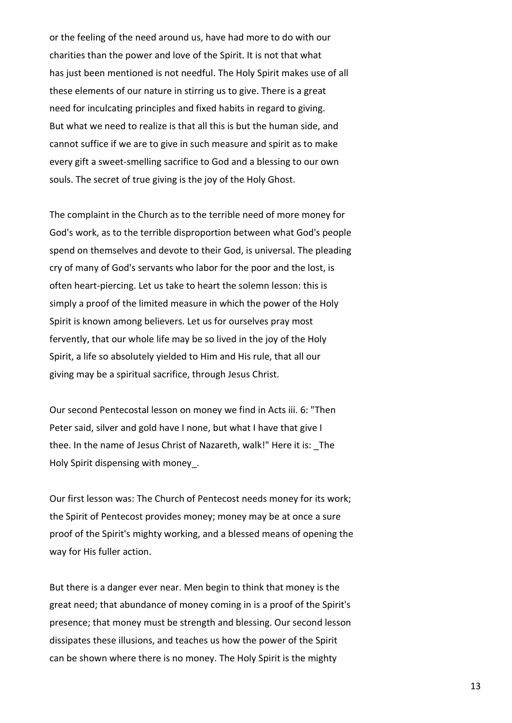or the feeling of the need around us, have had more to do with our charities than the power and love of the Spirit. It is not that what has just been mentioned is not needful. The Holy Spirit makes use of all these elements of our nature in stirring us to give. There is a great need for inculcating principles and fixed habits in regard to giving. But what we need to realize is that all this is but the human side, and cannot suffice if we are to give in such measure and spirit as to make every gift a sweet-smelling sacrifice to God and a blessing to our own souls. The secret of true giving is the joy of the Holy Ghost.

The complaint in the Church as to the terrible need of more money for God's work, as to the terrible disproportion between what God's people spend on themselves and devote to their God, is universal. The pleading cry of many of God's servants who labor for the poor and the lost, is often heart-piercing. Let us take to heart the solemn lesson: this is simply a proof of the limited measure in which the power of the Holy Spirit is known among believers. Let us for ourselves pray most fervently, that our whole life may be so lived in the joy of the Holy Spirit, a life so absolutely yielded to Him and His rule, that all our giving may be a spiritual sacrifice, through Jesus Christ.

Our second Pentecostal lesson on money we find in Acts iii. 6: "Then Peter said, silver and gold have I none, but what I have that give I thee. In the name of Jesus Christ of Nazareth, walk!" Here it is: \_The Holy Spirit dispensing with money\_.

Our first lesson was: The Church of Pentecost needs money for its work; the Spirit of Pentecost provides money; money may be at once a sure proof of the Spirit's mighty working, and a blessed means of opening the way for His fuller action.

But there is a danger ever near. Men begin to think that money is the great need; that abundance of money coming in is a proof of the Spirit's presence; that money must be strength and blessing. Our second lesson dissipates these illusions, and teaches us how the power of the Spirit can be shown where there is no money. The Holy Spirit is the mighty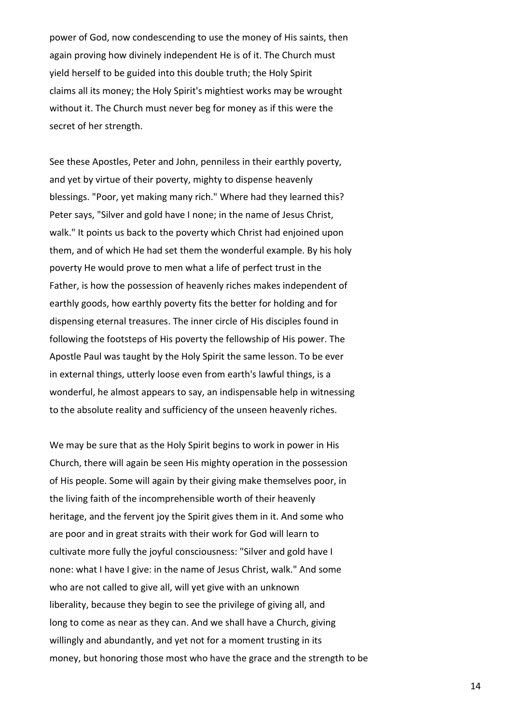power of God, now condescending to use the money of His saints, then again proving how divinely independent He is of it. The Church must yield herself to be guided into this double truth; the Holy Spirit claims all its money; the Holy Spirit's mightiest works may be wrought without it. The Church must never beg for money as if this were the secret of her strength.

See these Apostles, Peter and John, penniless in their earthly poverty, and yet by virtue of their poverty, mighty to dispense heavenly blessings. "Poor, yet making many rich." Where had they learned this? Peter says, "Silver and gold have I none; in the name of Jesus Christ, walk." It points us back to the poverty which Christ had enjoined upon them, and of which He had set them the wonderful example. By his holy poverty He would prove to men what a life of perfect trust in the Father, is how the possession of heavenly riches makes independent of earthly goods, how earthly poverty fits the better for holding and for dispensing eternal treasures. The inner circle of His disciples found in following the footsteps of His poverty the fellowship of His power. The Apostle Paul was taught by the Holy Spirit the same lesson. To be ever in external things, utterly loose even from earth's lawful things, is a wonderful, he almost appears to say, an indispensable help in witnessing to the absolute reality and sufficiency of the unseen heavenly riches.

We may be sure that as the Holy Spirit begins to work in power in His Church, there will again be seen His mighty operation in the possession of His people. Some will again by their giving make themselves poor, in the living faith of the incomprehensible worth of their heavenly heritage, and the fervent joy the Spirit gives them in it. And some who are poor and in great straits with their work for God will learn to cultivate more fully the joyful consciousness: "Silver and gold have I none: what I have I give: in the name of Jesus Christ, walk." And some who are not called to give all, will yet give with an unknown liberality, because they begin to see the privilege of giving all, and long to come as near as they can. And we shall have a Church, giving willingly and abundantly, and yet not for a moment trusting in its money, but honoring those most who have the grace and the strength to be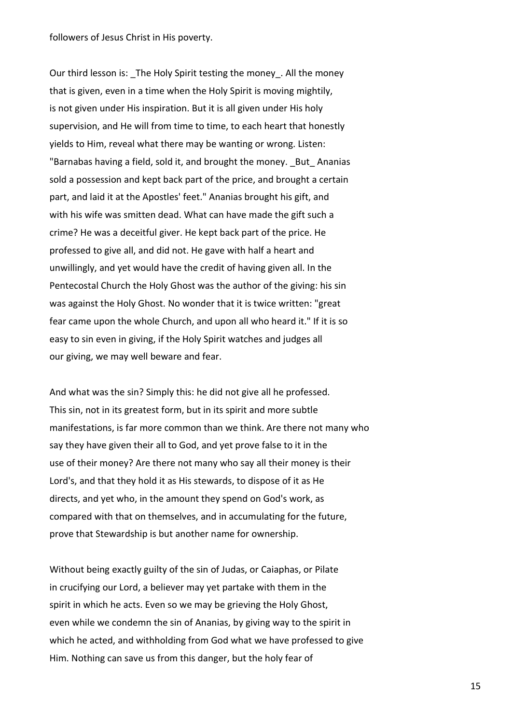followers of Jesus Christ in His poverty.

Our third lesson is: The Holy Spirit testing the money. All the money that is given, even in a time when the Holy Spirit is moving mightily, is not given under His inspiration. But it is all given under His holy supervision, and He will from time to time, to each heart that honestly yields to Him, reveal what there may be wanting or wrong. Listen: "Barnabas having a field, sold it, and brought the money. \_But\_ Ananias sold a possession and kept back part of the price, and brought a certain part, and laid it at the Apostles' feet." Ananias brought his gift, and with his wife was smitten dead. What can have made the gift such a crime? He was a deceitful giver. He kept back part of the price. He professed to give all, and did not. He gave with half a heart and unwillingly, and yet would have the credit of having given all. In the Pentecostal Church the Holy Ghost was the author of the giving: his sin was against the Holy Ghost. No wonder that it is twice written: "great fear came upon the whole Church, and upon all who heard it." If it is so easy to sin even in giving, if the Holy Spirit watches and judges all our giving, we may well beware and fear.

And what was the sin? Simply this: he did not give all he professed. This sin, not in its greatest form, but in its spirit and more subtle manifestations, is far more common than we think. Are there not many who say they have given their all to God, and yet prove false to it in the use of their money? Are there not many who say all their money is their Lord's, and that they hold it as His stewards, to dispose of it as He directs, and yet who, in the amount they spend on God's work, as compared with that on themselves, and in accumulating for the future, prove that Stewardship is but another name for ownership.

Without being exactly guilty of the sin of Judas, or Caiaphas, or Pilate in crucifying our Lord, a believer may yet partake with them in the spirit in which he acts. Even so we may be grieving the Holy Ghost, even while we condemn the sin of Ananias, by giving way to the spirit in which he acted, and withholding from God what we have professed to give Him. Nothing can save us from this danger, but the holy fear of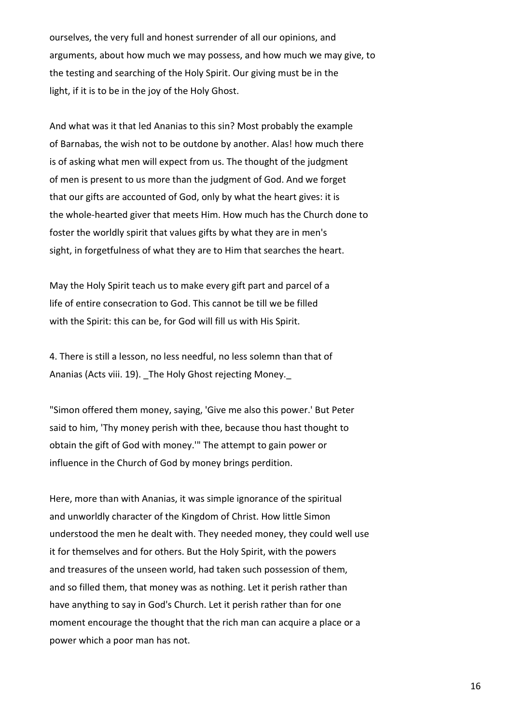ourselves, the very full and honest surrender of all our opinions, and arguments, about how much we may possess, and how much we may give, to the testing and searching of the Holy Spirit. Our giving must be in the light, if it is to be in the joy of the Holy Ghost.

And what was it that led Ananias to this sin? Most probably the example of Barnabas, the wish not to be outdone by another. Alas! how much there is of asking what men will expect from us. The thought of the judgment of men is present to us more than the judgment of God. And we forget that our gifts are accounted of God, only by what the heart gives: it is the whole-hearted giver that meets Him. How much has the Church done to foster the worldly spirit that values gifts by what they are in men's sight, in forgetfulness of what they are to Him that searches the heart.

May the Holy Spirit teach us to make every gift part and parcel of a life of entire consecration to God. This cannot be till we be filled with the Spirit: this can be, for God will fill us with His Spirit.

4. There is still a lesson, no less needful, no less solemn than that of Ananias (Acts viii. 19). The Holy Ghost rejecting Money.

"Simon offered them money, saying, 'Give me also this power.' But Peter said to him, 'Thy money perish with thee, because thou hast thought to obtain the gift of God with money.'" The attempt to gain power or influence in the Church of God by money brings perdition.

Here, more than with Ananias, it was simple ignorance of the spiritual and unworldly character of the Kingdom of Christ. How little Simon understood the men he dealt with. They needed money, they could well use it for themselves and for others. But the Holy Spirit, with the powers and treasures of the unseen world, had taken such possession of them, and so filled them, that money was as nothing. Let it perish rather than have anything to say in God's Church. Let it perish rather than for one moment encourage the thought that the rich man can acquire a place or a power which a poor man has not.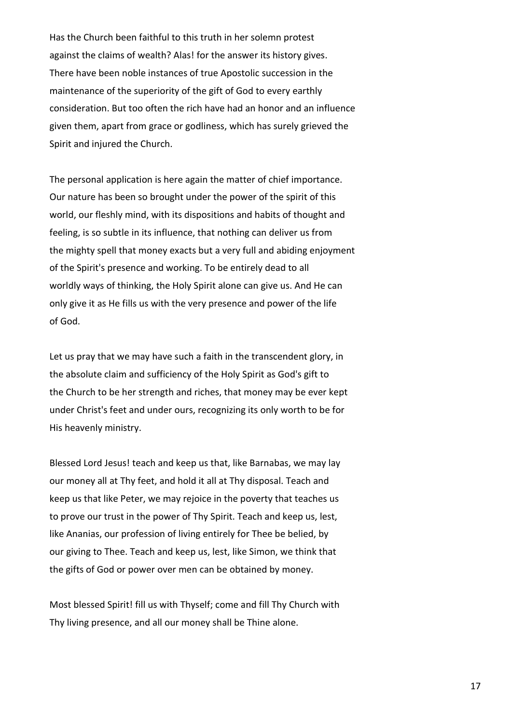Has the Church been faithful to this truth in her solemn protest against the claims of wealth? Alas! for the answer its history gives. There have been noble instances of true Apostolic succession in the maintenance of the superiority of the gift of God to every earthly consideration. But too often the rich have had an honor and an influence given them, apart from grace or godliness, which has surely grieved the Spirit and injured the Church.

The personal application is here again the matter of chief importance. Our nature has been so brought under the power of the spirit of this world, our fleshly mind, with its dispositions and habits of thought and feeling, is so subtle in its influence, that nothing can deliver us from the mighty spell that money exacts but a very full and abiding enjoyment of the Spirit's presence and working. To be entirely dead to all worldly ways of thinking, the Holy Spirit alone can give us. And He can only give it as He fills us with the very presence and power of the life of God.

Let us pray that we may have such a faith in the transcendent glory, in the absolute claim and sufficiency of the Holy Spirit as God's gift to the Church to be her strength and riches, that money may be ever kept under Christ's feet and under ours, recognizing its only worth to be for His heavenly ministry.

Blessed Lord Jesus! teach and keep us that, like Barnabas, we may lay our money all at Thy feet, and hold it all at Thy disposal. Teach and keep us that like Peter, we may rejoice in the poverty that teaches us to prove our trust in the power of Thy Spirit. Teach and keep us, lest, like Ananias, our profession of living entirely for Thee be belied, by our giving to Thee. Teach and keep us, lest, like Simon, we think that the gifts of God or power over men can be obtained by money.

Most blessed Spirit! fill us with Thyself; come and fill Thy Church with Thy living presence, and all our money shall be Thine alone.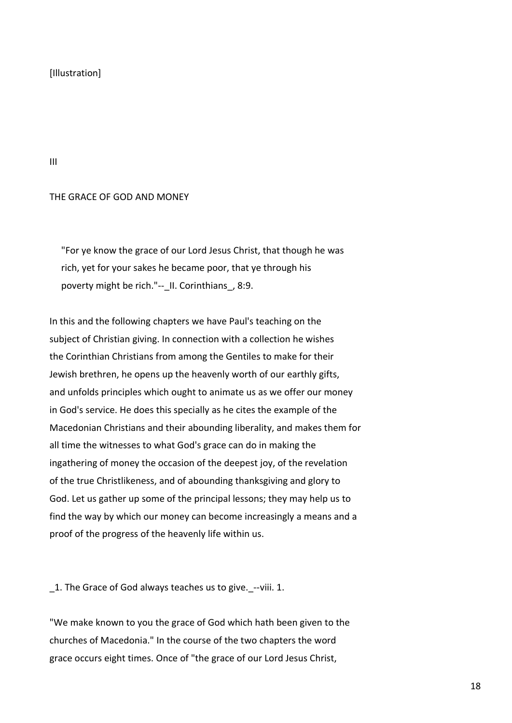# [Illustration]

III

## THE GRACE OF GOD AND MONEY

 "For ye know the grace of our Lord Jesus Christ, that though he was rich, yet for your sakes he became poor, that ye through his poverty might be rich."-- II. Corinthians, 8:9.

In this and the following chapters we have Paul's teaching on the subject of Christian giving. In connection with a collection he wishes the Corinthian Christians from among the Gentiles to make for their Jewish brethren, he opens up the heavenly worth of our earthly gifts, and unfolds principles which ought to animate us as we offer our money in God's service. He does this specially as he cites the example of the Macedonian Christians and their abounding liberality, and makes them for all time the witnesses to what God's grace can do in making the ingathering of money the occasion of the deepest joy, of the revelation of the true Christlikeness, and of abounding thanksgiving and glory to God. Let us gather up some of the principal lessons; they may help us to find the way by which our money can become increasingly a means and a proof of the progress of the heavenly life within us.

1. The Grace of God always teaches us to give. --viii. 1.

"We make known to you the grace of God which hath been given to the churches of Macedonia." In the course of the two chapters the word grace occurs eight times. Once of "the grace of our Lord Jesus Christ,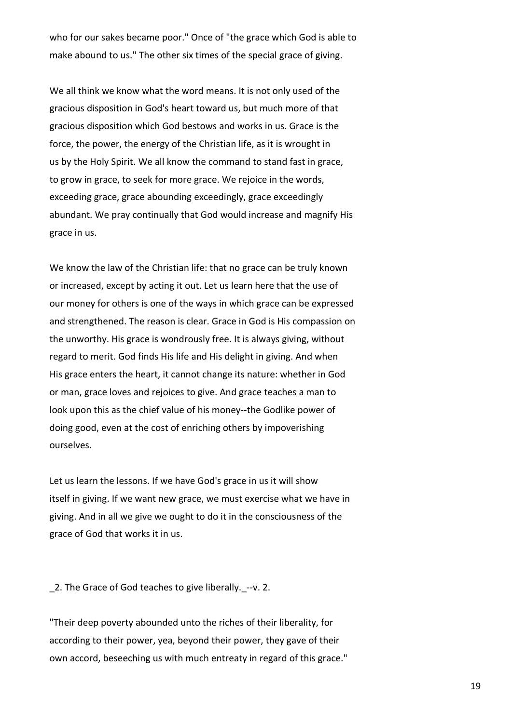who for our sakes became poor." Once of "the grace which God is able to make abound to us." The other six times of the special grace of giving.

We all think we know what the word means. It is not only used of the gracious disposition in God's heart toward us, but much more of that gracious disposition which God bestows and works in us. Grace is the force, the power, the energy of the Christian life, as it is wrought in us by the Holy Spirit. We all know the command to stand fast in grace, to grow in grace, to seek for more grace. We rejoice in the words, exceeding grace, grace abounding exceedingly, grace exceedingly abundant. We pray continually that God would increase and magnify His grace in us.

We know the law of the Christian life: that no grace can be truly known or increased, except by acting it out. Let us learn here that the use of our money for others is one of the ways in which grace can be expressed and strengthened. The reason is clear. Grace in God is His compassion on the unworthy. His grace is wondrously free. It is always giving, without regard to merit. God finds His life and His delight in giving. And when His grace enters the heart, it cannot change its nature: whether in God or man, grace loves and rejoices to give. And grace teaches a man to look upon this as the chief value of his money--the Godlike power of doing good, even at the cost of enriching others by impoverishing ourselves.

Let us learn the lessons. If we have God's grace in us it will show itself in giving. If we want new grace, we must exercise what we have in giving. And in all we give we ought to do it in the consciousness of the grace of God that works it in us.

2. The Grace of God teaches to give liberally. --v. 2.

"Their deep poverty abounded unto the riches of their liberality, for according to their power, yea, beyond their power, they gave of their own accord, beseeching us with much entreaty in regard of this grace."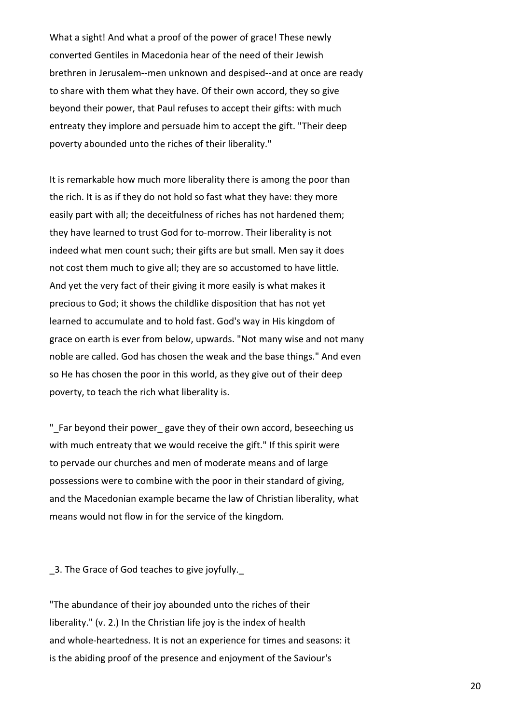What a sight! And what a proof of the power of grace! These newly converted Gentiles in Macedonia hear of the need of their Jewish brethren in Jerusalem--men unknown and despised--and at once are ready to share with them what they have. Of their own accord, they so give beyond their power, that Paul refuses to accept their gifts: with much entreaty they implore and persuade him to accept the gift. "Their deep poverty abounded unto the riches of their liberality."

It is remarkable how much more liberality there is among the poor than the rich. It is as if they do not hold so fast what they have: they more easily part with all; the deceitfulness of riches has not hardened them; they have learned to trust God for to-morrow. Their liberality is not indeed what men count such; their gifts are but small. Men say it does not cost them much to give all; they are so accustomed to have little. And yet the very fact of their giving it more easily is what makes it precious to God; it shows the childlike disposition that has not yet learned to accumulate and to hold fast. God's way in His kingdom of grace on earth is ever from below, upwards. "Not many wise and not many noble are called. God has chosen the weak and the base things." And even so He has chosen the poor in this world, as they give out of their deep poverty, to teach the rich what liberality is.

"\_Far beyond their power\_ gave they of their own accord, beseeching us with much entreaty that we would receive the gift." If this spirit were to pervade our churches and men of moderate means and of large possessions were to combine with the poor in their standard of giving, and the Macedonian example became the law of Christian liberality, what means would not flow in for the service of the kingdom.

3. The Grace of God teaches to give joyfully.

"The abundance of their joy abounded unto the riches of their liberality." (v. 2.) In the Christian life joy is the index of health and whole-heartedness. It is not an experience for times and seasons: it is the abiding proof of the presence and enjoyment of the Saviour's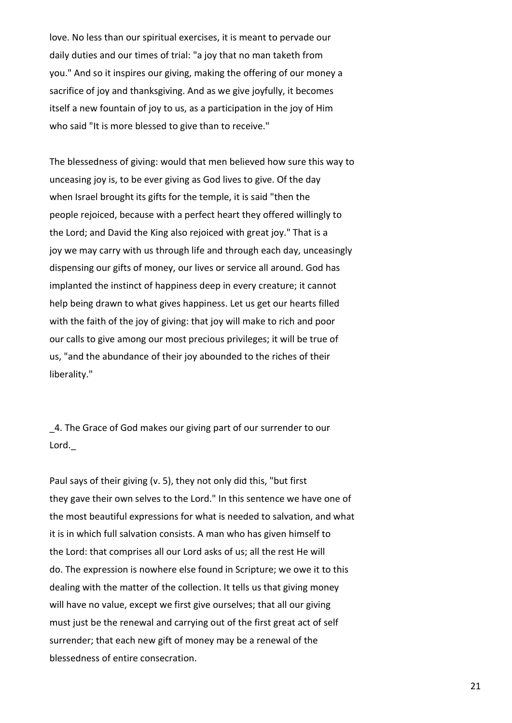love. No less than our spiritual exercises, it is meant to pervade our daily duties and our times of trial: "a joy that no man taketh from you." And so it inspires our giving, making the offering of our money a sacrifice of joy and thanksgiving. And as we give joyfully, it becomes itself a new fountain of joy to us, as a participation in the joy of Him who said "It is more blessed to give than to receive."

The blessedness of giving: would that men believed how sure this way to unceasing joy is, to be ever giving as God lives to give. Of the day when Israel brought its gifts for the temple, it is said "then the people rejoiced, because with a perfect heart they offered willingly to the Lord; and David the King also rejoiced with great joy." That is a joy we may carry with us through life and through each day, unceasingly dispensing our gifts of money, our lives or service all around. God has implanted the instinct of happiness deep in every creature; it cannot help being drawn to what gives happiness. Let us get our hearts filled with the faith of the joy of giving: that joy will make to rich and poor our calls to give among our most precious privileges; it will be true of us, "and the abundance of their joy abounded to the riches of their liberality."

\_4. The Grace of God makes our giving part of our surrender to our Lord.

Paul says of their giving (v. 5), they not only did this, "but first they gave their own selves to the Lord." In this sentence we have one of the most beautiful expressions for what is needed to salvation, and what it is in which full salvation consists. A man who has given himself to the Lord: that comprises all our Lord asks of us; all the rest He will do. The expression is nowhere else found in Scripture; we owe it to this dealing with the matter of the collection. It tells us that giving money will have no value, except we first give ourselves; that all our giving must just be the renewal and carrying out of the first great act of self surrender; that each new gift of money may be a renewal of the blessedness of entire consecration.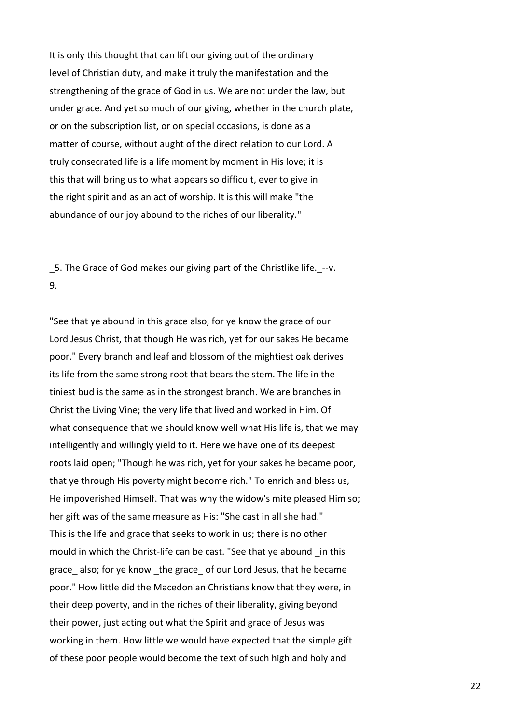It is only this thought that can lift our giving out of the ordinary level of Christian duty, and make it truly the manifestation and the strengthening of the grace of God in us. We are not under the law, but under grace. And yet so much of our giving, whether in the church plate, or on the subscription list, or on special occasions, is done as a matter of course, without aught of the direct relation to our Lord. A truly consecrated life is a life moment by moment in His love; it is this that will bring us to what appears so difficult, ever to give in the right spirit and as an act of worship. It is this will make "the abundance of our joy abound to the riches of our liberality."

5. The Grace of God makes our giving part of the Christlike life. --v. 9.

"See that ye abound in this grace also, for ye know the grace of our Lord Jesus Christ, that though He was rich, yet for our sakes He became poor." Every branch and leaf and blossom of the mightiest oak derives its life from the same strong root that bears the stem. The life in the tiniest bud is the same as in the strongest branch. We are branches in Christ the Living Vine; the very life that lived and worked in Him. Of what consequence that we should know well what His life is, that we may intelligently and willingly yield to it. Here we have one of its deepest roots laid open; "Though he was rich, yet for your sakes he became poor, that ye through His poverty might become rich." To enrich and bless us, He impoverished Himself. That was why the widow's mite pleased Him so; her gift was of the same measure as His: "She cast in all she had." This is the life and grace that seeks to work in us; there is no other mould in which the Christ-life can be cast. "See that ye abound \_in this grace also; for ye know the grace of our Lord Jesus, that he became poor." How little did the Macedonian Christians know that they were, in their deep poverty, and in the riches of their liberality, giving beyond their power, just acting out what the Spirit and grace of Jesus was working in them. How little we would have expected that the simple gift of these poor people would become the text of such high and holy and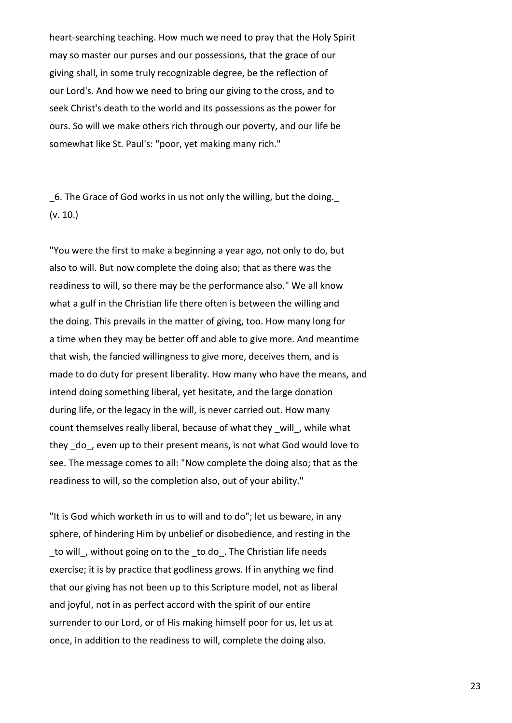heart-searching teaching. How much we need to pray that the Holy Spirit may so master our purses and our possessions, that the grace of our giving shall, in some truly recognizable degree, be the reflection of our Lord's. And how we need to bring our giving to the cross, and to seek Christ's death to the world and its possessions as the power for ours. So will we make others rich through our poverty, and our life be somewhat like St. Paul's: "poor, yet making many rich."

\_6. The Grace of God works in us not only the willing, but the doing.\_ (v. 10.)

"You were the first to make a beginning a year ago, not only to do, but also to will. But now complete the doing also; that as there was the readiness to will, so there may be the performance also." We all know what a gulf in the Christian life there often is between the willing and the doing. This prevails in the matter of giving, too. How many long for a time when they may be better off and able to give more. And meantime that wish, the fancied willingness to give more, deceives them, and is made to do duty for present liberality. How many who have the means, and intend doing something liberal, yet hesitate, and the large donation during life, or the legacy in the will, is never carried out. How many count themselves really liberal, because of what they will, while what they \_do\_, even up to their present means, is not what God would love to see. The message comes to all: "Now complete the doing also; that as the readiness to will, so the completion also, out of your ability."

"It is God which worketh in us to will and to do"; let us beware, in any sphere, of hindering Him by unbelief or disobedience, and resting in the to will, without going on to the to do. The Christian life needs exercise; it is by practice that godliness grows. If in anything we find that our giving has not been up to this Scripture model, not as liberal and joyful, not in as perfect accord with the spirit of our entire surrender to our Lord, or of His making himself poor for us, let us at once, in addition to the readiness to will, complete the doing also.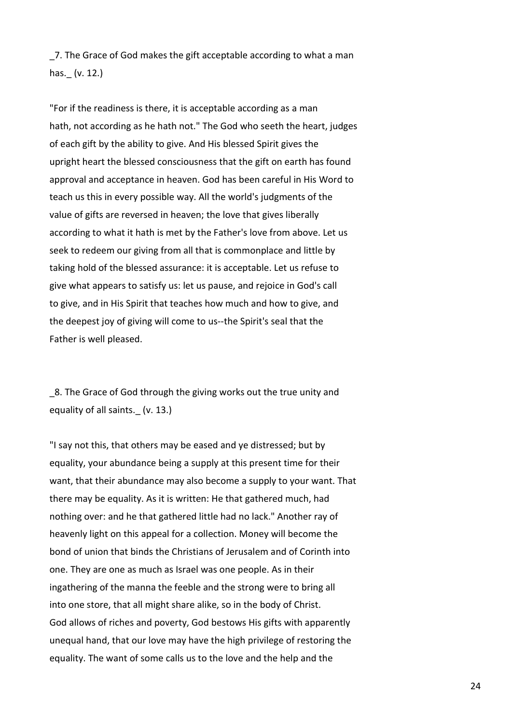\_7. The Grace of God makes the gift acceptable according to what a man has.\_ (v. 12.)

"For if the readiness is there, it is acceptable according as a man hath, not according as he hath not." The God who seeth the heart, judges of each gift by the ability to give. And His blessed Spirit gives the upright heart the blessed consciousness that the gift on earth has found approval and acceptance in heaven. God has been careful in His Word to teach us this in every possible way. All the world's judgments of the value of gifts are reversed in heaven; the love that gives liberally according to what it hath is met by the Father's love from above. Let us seek to redeem our giving from all that is commonplace and little by taking hold of the blessed assurance: it is acceptable. Let us refuse to give what appears to satisfy us: let us pause, and rejoice in God's call to give, and in His Spirit that teaches how much and how to give, and the deepest joy of giving will come to us--the Spirit's seal that the Father is well pleased.

\_8. The Grace of God through the giving works out the true unity and equality of all saints. (v. 13.)

"I say not this, that others may be eased and ye distressed; but by equality, your abundance being a supply at this present time for their want, that their abundance may also become a supply to your want. That there may be equality. As it is written: He that gathered much, had nothing over: and he that gathered little had no lack." Another ray of heavenly light on this appeal for a collection. Money will become the bond of union that binds the Christians of Jerusalem and of Corinth into one. They are one as much as Israel was one people. As in their ingathering of the manna the feeble and the strong were to bring all into one store, that all might share alike, so in the body of Christ. God allows of riches and poverty, God bestows His gifts with apparently unequal hand, that our love may have the high privilege of restoring the equality. The want of some calls us to the love and the help and the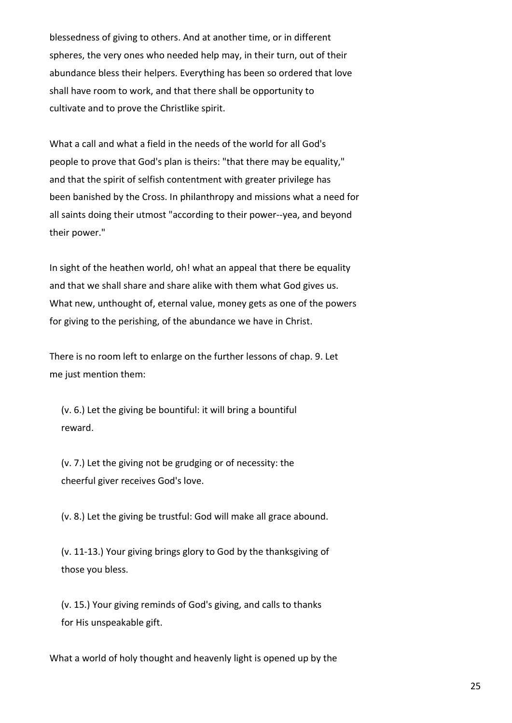blessedness of giving to others. And at another time, or in different spheres, the very ones who needed help may, in their turn, out of their abundance bless their helpers. Everything has been so ordered that love shall have room to work, and that there shall be opportunity to cultivate and to prove the Christlike spirit.

What a call and what a field in the needs of the world for all God's people to prove that God's plan is theirs: "that there may be equality," and that the spirit of selfish contentment with greater privilege has been banished by the Cross. In philanthropy and missions what a need for all saints doing their utmost "according to their power--yea, and beyond their power."

In sight of the heathen world, oh! what an appeal that there be equality and that we shall share and share alike with them what God gives us. What new, unthought of, eternal value, money gets as one of the powers for giving to the perishing, of the abundance we have in Christ.

There is no room left to enlarge on the further lessons of chap. 9. Let me just mention them:

 (v. 6.) Let the giving be bountiful: it will bring a bountiful reward.

 (v. 7.) Let the giving not be grudging or of necessity: the cheerful giver receives God's love.

(v. 8.) Let the giving be trustful: God will make all grace abound.

 (v. 11-13.) Your giving brings glory to God by the thanksgiving of those you bless.

 (v. 15.) Your giving reminds of God's giving, and calls to thanks for His unspeakable gift.

What a world of holy thought and heavenly light is opened up by the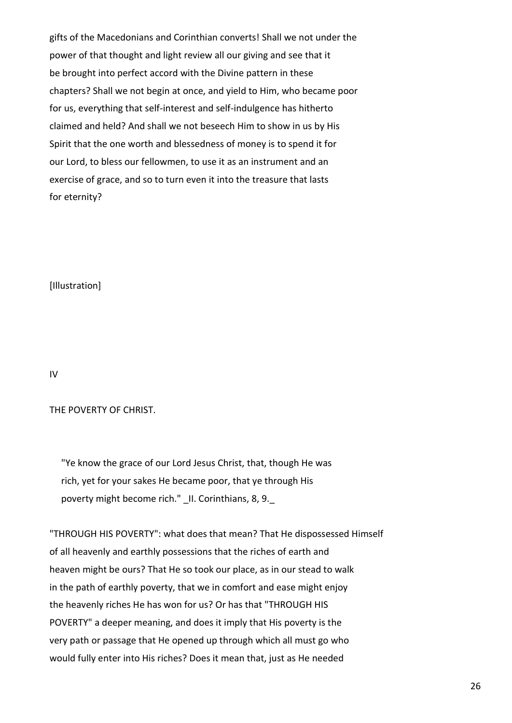gifts of the Macedonians and Corinthian converts! Shall we not under the power of that thought and light review all our giving and see that it be brought into perfect accord with the Divine pattern in these chapters? Shall we not begin at once, and yield to Him, who became poor for us, everything that self-interest and self-indulgence has hitherto claimed and held? And shall we not beseech Him to show in us by His Spirit that the one worth and blessedness of money is to spend it for our Lord, to bless our fellowmen, to use it as an instrument and an exercise of grace, and so to turn even it into the treasure that lasts for eternity?

[Illustration]

IV

## THE POVERTY OF CHRIST.

 "Ye know the grace of our Lord Jesus Christ, that, though He was rich, yet for your sakes He became poor, that ye through His poverty might become rich." II. Corinthians, 8, 9.

"THROUGH HIS POVERTY": what does that mean? That He dispossessed Himself of all heavenly and earthly possessions that the riches of earth and heaven might be ours? That He so took our place, as in our stead to walk in the path of earthly poverty, that we in comfort and ease might enjoy the heavenly riches He has won for us? Or has that "THROUGH HIS POVERTY" a deeper meaning, and does it imply that His poverty is the very path or passage that He opened up through which all must go who would fully enter into His riches? Does it mean that, just as He needed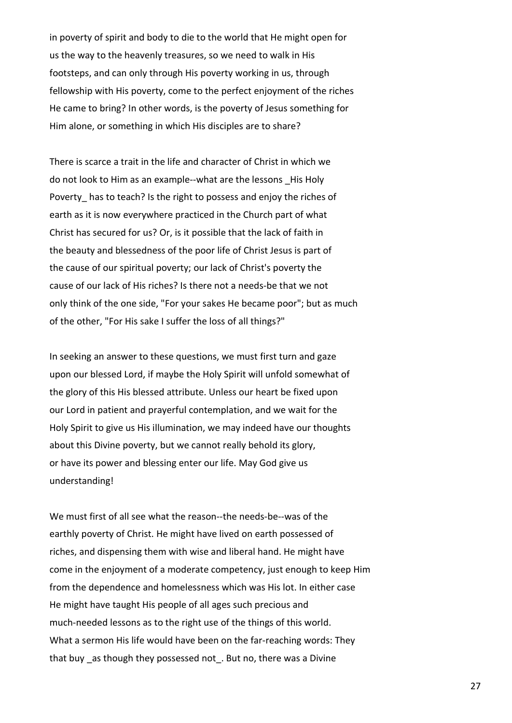in poverty of spirit and body to die to the world that He might open for us the way to the heavenly treasures, so we need to walk in His footsteps, and can only through His poverty working in us, through fellowship with His poverty, come to the perfect enjoyment of the riches He came to bring? In other words, is the poverty of Jesus something for Him alone, or something in which His disciples are to share?

There is scarce a trait in the life and character of Christ in which we do not look to Him as an example--what are the lessons His Holy Poverty has to teach? Is the right to possess and enjoy the riches of earth as it is now everywhere practiced in the Church part of what Christ has secured for us? Or, is it possible that the lack of faith in the beauty and blessedness of the poor life of Christ Jesus is part of the cause of our spiritual poverty; our lack of Christ's poverty the cause of our lack of His riches? Is there not a needs-be that we not only think of the one side, "For your sakes He became poor"; but as much of the other, "For His sake I suffer the loss of all things?"

In seeking an answer to these questions, we must first turn and gaze upon our blessed Lord, if maybe the Holy Spirit will unfold somewhat of the glory of this His blessed attribute. Unless our heart be fixed upon our Lord in patient and prayerful contemplation, and we wait for the Holy Spirit to give us His illumination, we may indeed have our thoughts about this Divine poverty, but we cannot really behold its glory, or have its power and blessing enter our life. May God give us understanding!

We must first of all see what the reason--the needs-be--was of the earthly poverty of Christ. He might have lived on earth possessed of riches, and dispensing them with wise and liberal hand. He might have come in the enjoyment of a moderate competency, just enough to keep Him from the dependence and homelessness which was His lot. In either case He might have taught His people of all ages such precious and much-needed lessons as to the right use of the things of this world. What a sermon His life would have been on the far-reaching words: They that buy as though they possessed not. But no, there was a Divine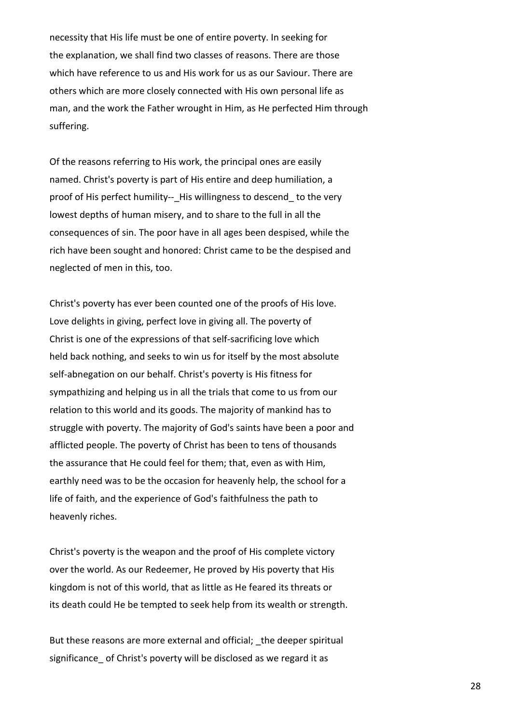necessity that His life must be one of entire poverty. In seeking for the explanation, we shall find two classes of reasons. There are those which have reference to us and His work for us as our Saviour. There are others which are more closely connected with His own personal life as man, and the work the Father wrought in Him, as He perfected Him through suffering.

Of the reasons referring to His work, the principal ones are easily named. Christ's poverty is part of His entire and deep humiliation, a proof of His perfect humility-- His willingness to descend to the very lowest depths of human misery, and to share to the full in all the consequences of sin. The poor have in all ages been despised, while the rich have been sought and honored: Christ came to be the despised and neglected of men in this, too.

Christ's poverty has ever been counted one of the proofs of His love. Love delights in giving, perfect love in giving all. The poverty of Christ is one of the expressions of that self-sacrificing love which held back nothing, and seeks to win us for itself by the most absolute self-abnegation on our behalf. Christ's poverty is His fitness for sympathizing and helping us in all the trials that come to us from our relation to this world and its goods. The majority of mankind has to struggle with poverty. The majority of God's saints have been a poor and afflicted people. The poverty of Christ has been to tens of thousands the assurance that He could feel for them; that, even as with Him, earthly need was to be the occasion for heavenly help, the school for a life of faith, and the experience of God's faithfulness the path to heavenly riches.

Christ's poverty is the weapon and the proof of His complete victory over the world. As our Redeemer, He proved by His poverty that His kingdom is not of this world, that as little as He feared its threats or its death could He be tempted to seek help from its wealth or strength.

But these reasons are more external and official; the deeper spiritual significance of Christ's poverty will be disclosed as we regard it as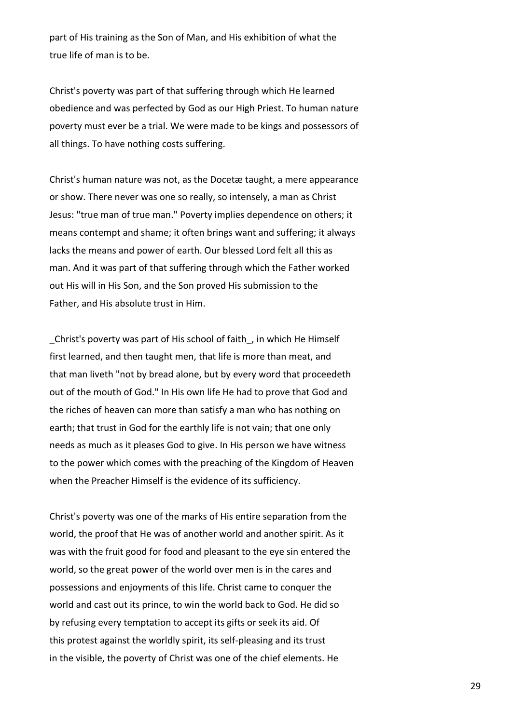part of His training as the Son of Man, and His exhibition of what the true life of man is to be.

Christ's poverty was part of that suffering through which He learned obedience and was perfected by God as our High Priest. To human nature poverty must ever be a trial. We were made to be kings and possessors of all things. To have nothing costs suffering.

Christ's human nature was not, as the Docetæ taught, a mere appearance or show. There never was one so really, so intensely, a man as Christ Jesus: "true man of true man." Poverty implies dependence on others; it means contempt and shame; it often brings want and suffering; it always lacks the means and power of earth. Our blessed Lord felt all this as man. And it was part of that suffering through which the Father worked out His will in His Son, and the Son proved His submission to the Father, and His absolute trust in Him.

\_Christ's poverty was part of His school of faith\_, in which He Himself first learned, and then taught men, that life is more than meat, and that man liveth "not by bread alone, but by every word that proceedeth out of the mouth of God." In His own life He had to prove that God and the riches of heaven can more than satisfy a man who has nothing on earth; that trust in God for the earthly life is not vain; that one only needs as much as it pleases God to give. In His person we have witness to the power which comes with the preaching of the Kingdom of Heaven when the Preacher Himself is the evidence of its sufficiency.

Christ's poverty was one of the marks of His entire separation from the world, the proof that He was of another world and another spirit. As it was with the fruit good for food and pleasant to the eye sin entered the world, so the great power of the world over men is in the cares and possessions and enjoyments of this life. Christ came to conquer the world and cast out its prince, to win the world back to God. He did so by refusing every temptation to accept its gifts or seek its aid. Of this protest against the worldly spirit, its self-pleasing and its trust in the visible, the poverty of Christ was one of the chief elements. He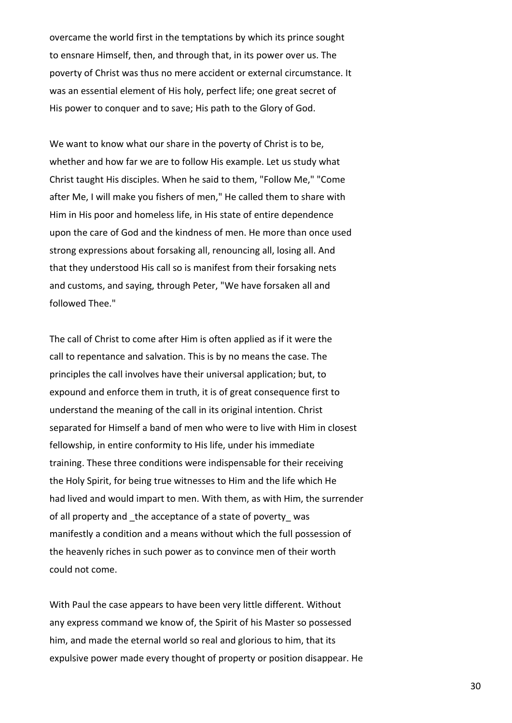overcame the world first in the temptations by which its prince sought to ensnare Himself, then, and through that, in its power over us. The poverty of Christ was thus no mere accident or external circumstance. It was an essential element of His holy, perfect life; one great secret of His power to conquer and to save; His path to the Glory of God.

We want to know what our share in the poverty of Christ is to be, whether and how far we are to follow His example. Let us study what Christ taught His disciples. When he said to them, "Follow Me," "Come after Me, I will make you fishers of men," He called them to share with Him in His poor and homeless life, in His state of entire dependence upon the care of God and the kindness of men. He more than once used strong expressions about forsaking all, renouncing all, losing all. And that they understood His call so is manifest from their forsaking nets and customs, and saying, through Peter, "We have forsaken all and followed Thee."

The call of Christ to come after Him is often applied as if it were the call to repentance and salvation. This is by no means the case. The principles the call involves have their universal application; but, to expound and enforce them in truth, it is of great consequence first to understand the meaning of the call in its original intention. Christ separated for Himself a band of men who were to live with Him in closest fellowship, in entire conformity to His life, under his immediate training. These three conditions were indispensable for their receiving the Holy Spirit, for being true witnesses to Him and the life which He had lived and would impart to men. With them, as with Him, the surrender of all property and the acceptance of a state of poverty was manifestly a condition and a means without which the full possession of the heavenly riches in such power as to convince men of their worth could not come.

With Paul the case appears to have been very little different. Without any express command we know of, the Spirit of his Master so possessed him, and made the eternal world so real and glorious to him, that its expulsive power made every thought of property or position disappear. He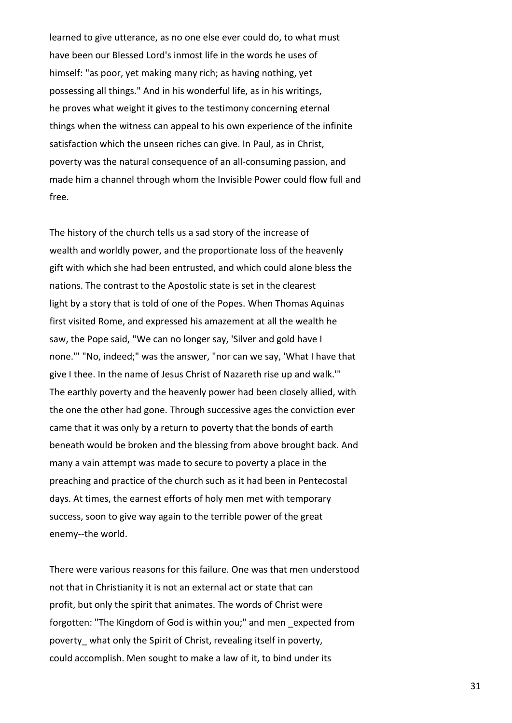learned to give utterance, as no one else ever could do, to what must have been our Blessed Lord's inmost life in the words he uses of himself: "as poor, yet making many rich; as having nothing, yet possessing all things." And in his wonderful life, as in his writings, he proves what weight it gives to the testimony concerning eternal things when the witness can appeal to his own experience of the infinite satisfaction which the unseen riches can give. In Paul, as in Christ, poverty was the natural consequence of an all-consuming passion, and made him a channel through whom the Invisible Power could flow full and free.

The history of the church tells us a sad story of the increase of wealth and worldly power, and the proportionate loss of the heavenly gift with which she had been entrusted, and which could alone bless the nations. The contrast to the Apostolic state is set in the clearest light by a story that is told of one of the Popes. When Thomas Aquinas first visited Rome, and expressed his amazement at all the wealth he saw, the Pope said, "We can no longer say, 'Silver and gold have I none.'" "No, indeed;" was the answer, "nor can we say, 'What I have that give I thee. In the name of Jesus Christ of Nazareth rise up and walk.'" The earthly poverty and the heavenly power had been closely allied, with the one the other had gone. Through successive ages the conviction ever came that it was only by a return to poverty that the bonds of earth beneath would be broken and the blessing from above brought back. And many a vain attempt was made to secure to poverty a place in the preaching and practice of the church such as it had been in Pentecostal days. At times, the earnest efforts of holy men met with temporary success, soon to give way again to the terrible power of the great enemy--the world.

There were various reasons for this failure. One was that men understood not that in Christianity it is not an external act or state that can profit, but only the spirit that animates. The words of Christ were forgotten: "The Kingdom of God is within you;" and men \_expected from poverty what only the Spirit of Christ, revealing itself in poverty, could accomplish. Men sought to make a law of it, to bind under its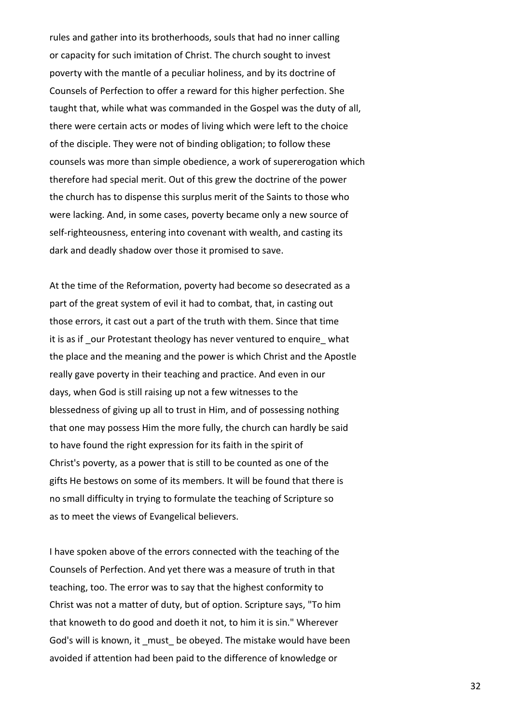rules and gather into its brotherhoods, souls that had no inner calling or capacity for such imitation of Christ. The church sought to invest poverty with the mantle of a peculiar holiness, and by its doctrine of Counsels of Perfection to offer a reward for this higher perfection. She taught that, while what was commanded in the Gospel was the duty of all, there were certain acts or modes of living which were left to the choice of the disciple. They were not of binding obligation; to follow these counsels was more than simple obedience, a work of supererogation which therefore had special merit. Out of this grew the doctrine of the power the church has to dispense this surplus merit of the Saints to those who were lacking. And, in some cases, poverty became only a new source of self-righteousness, entering into covenant with wealth, and casting its dark and deadly shadow over those it promised to save.

At the time of the Reformation, poverty had become so desecrated as a part of the great system of evil it had to combat, that, in casting out those errors, it cast out a part of the truth with them. Since that time it is as if \_our Protestant theology has never ventured to enquire\_ what the place and the meaning and the power is which Christ and the Apostle really gave poverty in their teaching and practice. And even in our days, when God is still raising up not a few witnesses to the blessedness of giving up all to trust in Him, and of possessing nothing that one may possess Him the more fully, the church can hardly be said to have found the right expression for its faith in the spirit of Christ's poverty, as a power that is still to be counted as one of the gifts He bestows on some of its members. It will be found that there is no small difficulty in trying to formulate the teaching of Scripture so as to meet the views of Evangelical believers.

I have spoken above of the errors connected with the teaching of the Counsels of Perfection. And yet there was a measure of truth in that teaching, too. The error was to say that the highest conformity to Christ was not a matter of duty, but of option. Scripture says, "To him that knoweth to do good and doeth it not, to him it is sin." Wherever God's will is known, it must be obeyed. The mistake would have been avoided if attention had been paid to the difference of knowledge or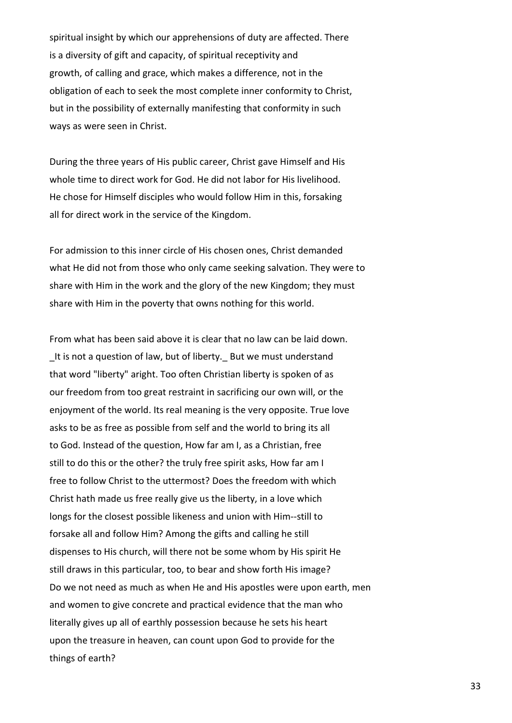spiritual insight by which our apprehensions of duty are affected. There is a diversity of gift and capacity, of spiritual receptivity and growth, of calling and grace, which makes a difference, not in the obligation of each to seek the most complete inner conformity to Christ, but in the possibility of externally manifesting that conformity in such ways as were seen in Christ.

During the three years of His public career, Christ gave Himself and His whole time to direct work for God. He did not labor for His livelihood. He chose for Himself disciples who would follow Him in this, forsaking all for direct work in the service of the Kingdom.

For admission to this inner circle of His chosen ones, Christ demanded what He did not from those who only came seeking salvation. They were to share with Him in the work and the glory of the new Kingdom; they must share with Him in the poverty that owns nothing for this world.

From what has been said above it is clear that no law can be laid down. It is not a question of law, but of liberty. But we must understand that word "liberty" aright. Too often Christian liberty is spoken of as our freedom from too great restraint in sacrificing our own will, or the enjoyment of the world. Its real meaning is the very opposite. True love asks to be as free as possible from self and the world to bring its all to God. Instead of the question, How far am I, as a Christian, free still to do this or the other? the truly free spirit asks, How far am I free to follow Christ to the uttermost? Does the freedom with which Christ hath made us free really give us the liberty, in a love which longs for the closest possible likeness and union with Him--still to forsake all and follow Him? Among the gifts and calling he still dispenses to His church, will there not be some whom by His spirit He still draws in this particular, too, to bear and show forth His image? Do we not need as much as when He and His apostles were upon earth, men and women to give concrete and practical evidence that the man who literally gives up all of earthly possession because he sets his heart upon the treasure in heaven, can count upon God to provide for the things of earth?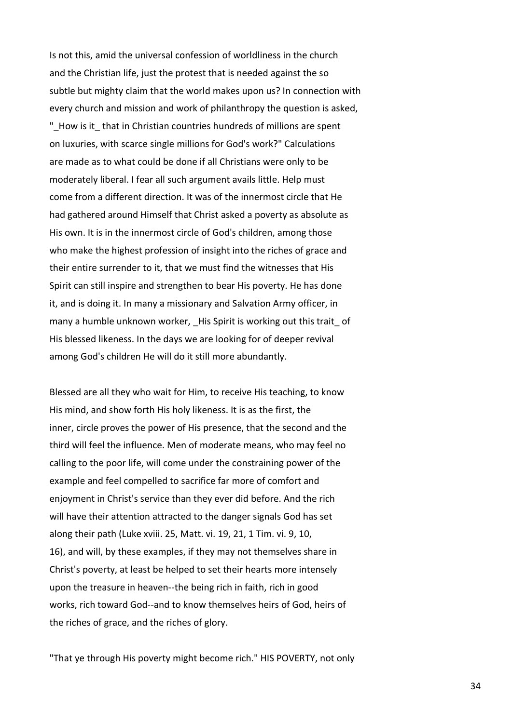Is not this, amid the universal confession of worldliness in the church and the Christian life, just the protest that is needed against the so subtle but mighty claim that the world makes upon us? In connection with every church and mission and work of philanthropy the question is asked, "\_How is it\_ that in Christian countries hundreds of millions are spent on luxuries, with scarce single millions for God's work?" Calculations are made as to what could be done if all Christians were only to be moderately liberal. I fear all such argument avails little. Help must come from a different direction. It was of the innermost circle that He had gathered around Himself that Christ asked a poverty as absolute as His own. It is in the innermost circle of God's children, among those who make the highest profession of insight into the riches of grace and their entire surrender to it, that we must find the witnesses that His Spirit can still inspire and strengthen to bear His poverty. He has done it, and is doing it. In many a missionary and Salvation Army officer, in many a humble unknown worker, His Spirit is working out this trait of His blessed likeness. In the days we are looking for of deeper revival among God's children He will do it still more abundantly.

Blessed are all they who wait for Him, to receive His teaching, to know His mind, and show forth His holy likeness. It is as the first, the inner, circle proves the power of His presence, that the second and the third will feel the influence. Men of moderate means, who may feel no calling to the poor life, will come under the constraining power of the example and feel compelled to sacrifice far more of comfort and enjoyment in Christ's service than they ever did before. And the rich will have their attention attracted to the danger signals God has set along their path (Luke xviii. 25, Matt. vi. 19, 21, 1 Tim. vi. 9, 10, 16), and will, by these examples, if they may not themselves share in Christ's poverty, at least be helped to set their hearts more intensely upon the treasure in heaven--the being rich in faith, rich in good works, rich toward God--and to know themselves heirs of God, heirs of the riches of grace, and the riches of glory.

"That ye through His poverty might become rich." HIS POVERTY, not only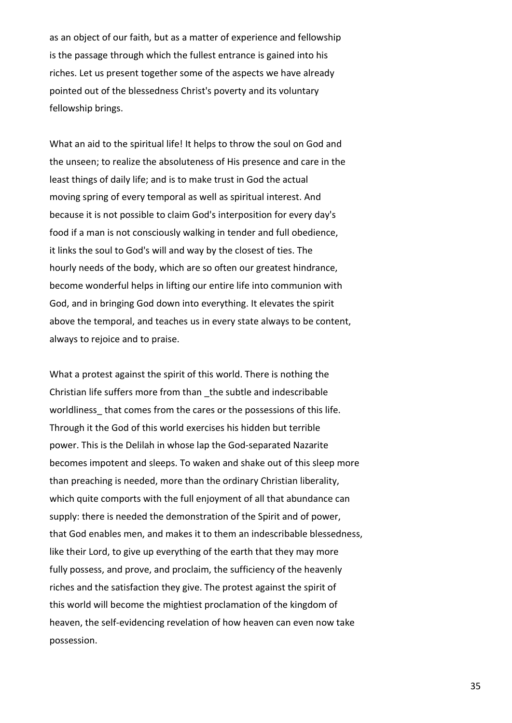as an object of our faith, but as a matter of experience and fellowship is the passage through which the fullest entrance is gained into his riches. Let us present together some of the aspects we have already pointed out of the blessedness Christ's poverty and its voluntary fellowship brings.

What an aid to the spiritual life! It helps to throw the soul on God and the unseen; to realize the absoluteness of His presence and care in the least things of daily life; and is to make trust in God the actual moving spring of every temporal as well as spiritual interest. And because it is not possible to claim God's interposition for every day's food if a man is not consciously walking in tender and full obedience, it links the soul to God's will and way by the closest of ties. The hourly needs of the body, which are so often our greatest hindrance, become wonderful helps in lifting our entire life into communion with God, and in bringing God down into everything. It elevates the spirit above the temporal, and teaches us in every state always to be content, always to rejoice and to praise.

What a protest against the spirit of this world. There is nothing the Christian life suffers more from than \_the subtle and indescribable worldliness that comes from the cares or the possessions of this life. Through it the God of this world exercises his hidden but terrible power. This is the Delilah in whose lap the God-separated Nazarite becomes impotent and sleeps. To waken and shake out of this sleep more than preaching is needed, more than the ordinary Christian liberality, which quite comports with the full enjoyment of all that abundance can supply: there is needed the demonstration of the Spirit and of power, that God enables men, and makes it to them an indescribable blessedness, like their Lord, to give up everything of the earth that they may more fully possess, and prove, and proclaim, the sufficiency of the heavenly riches and the satisfaction they give. The protest against the spirit of this world will become the mightiest proclamation of the kingdom of heaven, the self-evidencing revelation of how heaven can even now take possession.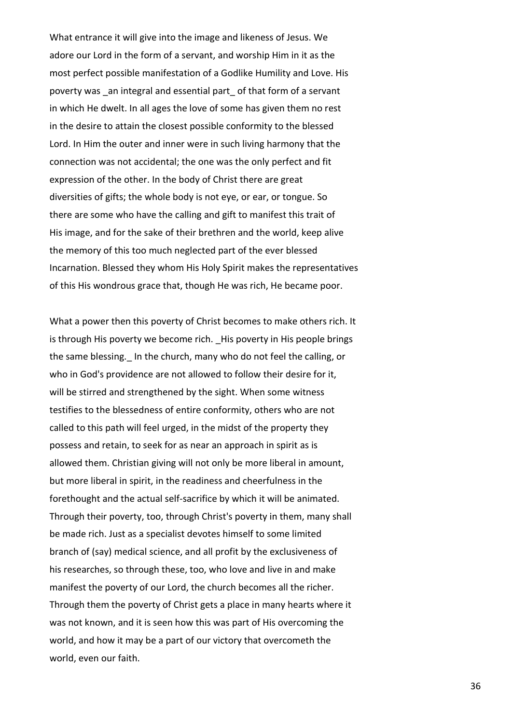What entrance it will give into the image and likeness of Jesus. We adore our Lord in the form of a servant, and worship Him in it as the most perfect possible manifestation of a Godlike Humility and Love. His poverty was an integral and essential part of that form of a servant in which He dwelt. In all ages the love of some has given them no rest in the desire to attain the closest possible conformity to the blessed Lord. In Him the outer and inner were in such living harmony that the connection was not accidental; the one was the only perfect and fit expression of the other. In the body of Christ there are great diversities of gifts; the whole body is not eye, or ear, or tongue. So there are some who have the calling and gift to manifest this trait of His image, and for the sake of their brethren and the world, keep alive the memory of this too much neglected part of the ever blessed Incarnation. Blessed they whom His Holy Spirit makes the representatives of this His wondrous grace that, though He was rich, He became poor.

What a power then this poverty of Christ becomes to make others rich. It is through His poverty we become rich. \_His poverty in His people brings the same blessing. In the church, many who do not feel the calling, or who in God's providence are not allowed to follow their desire for it, will be stirred and strengthened by the sight. When some witness testifies to the blessedness of entire conformity, others who are not called to this path will feel urged, in the midst of the property they possess and retain, to seek for as near an approach in spirit as is allowed them. Christian giving will not only be more liberal in amount, but more liberal in spirit, in the readiness and cheerfulness in the forethought and the actual self-sacrifice by which it will be animated. Through their poverty, too, through Christ's poverty in them, many shall be made rich. Just as a specialist devotes himself to some limited branch of (say) medical science, and all profit by the exclusiveness of his researches, so through these, too, who love and live in and make manifest the poverty of our Lord, the church becomes all the richer. Through them the poverty of Christ gets a place in many hearts where it was not known, and it is seen how this was part of His overcoming the world, and how it may be a part of our victory that overcometh the world, even our faith.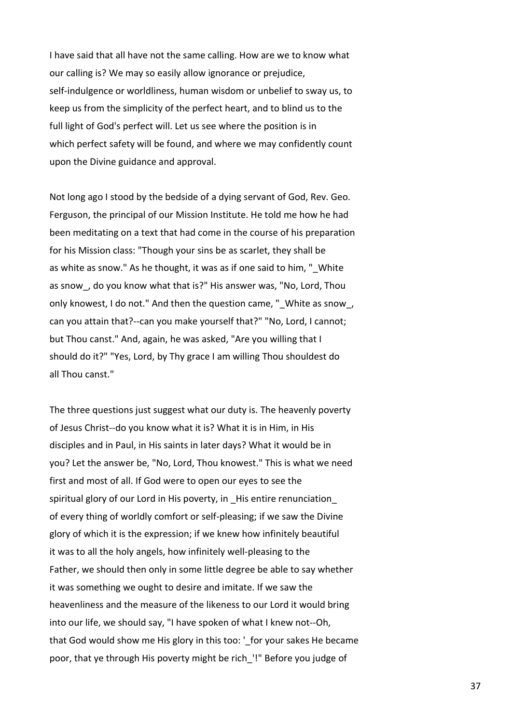I have said that all have not the same calling. How are we to know what our calling is? We may so easily allow ignorance or prejudice, self-indulgence or worldliness, human wisdom or unbelief to sway us, to keep us from the simplicity of the perfect heart, and to blind us to the full light of God's perfect will. Let us see where the position is in which perfect safety will be found, and where we may confidently count upon the Divine guidance and approval.

Not long ago I stood by the bedside of a dying servant of God, Rev. Geo. Ferguson, the principal of our Mission Institute. He told me how he had been meditating on a text that had come in the course of his preparation for his Mission class: "Though your sins be as scarlet, they shall be as white as snow." As he thought, it was as if one said to him. " White as snow, do you know what that is?" His answer was, "No, Lord, Thou only knowest, I do not." And then the question came, " White as snow, can you attain that?--can you make yourself that?" "No, Lord, I cannot; but Thou canst." And, again, he was asked, "Are you willing that I should do it?" "Yes, Lord, by Thy grace I am willing Thou shouldest do all Thou canst."

The three questions just suggest what our duty is. The heavenly poverty of Jesus Christ--do you know what it is? What it is in Him, in His disciples and in Paul, in His saints in later days? What it would be in you? Let the answer be, "No, Lord, Thou knowest." This is what we need first and most of all. If God were to open our eyes to see the spiritual glory of our Lord in His poverty, in His entire renunciation of every thing of worldly comfort or self-pleasing; if we saw the Divine glory of which it is the expression; if we knew how infinitely beautiful it was to all the holy angels, how infinitely well-pleasing to the Father, we should then only in some little degree be able to say whether it was something we ought to desire and imitate. If we saw the heavenliness and the measure of the likeness to our Lord it would bring into our life, we should say, "I have spoken of what I knew not--Oh, that God would show me His glory in this too: '\_for your sakes He became poor, that ye through His poverty might be rich\_'!" Before you judge of